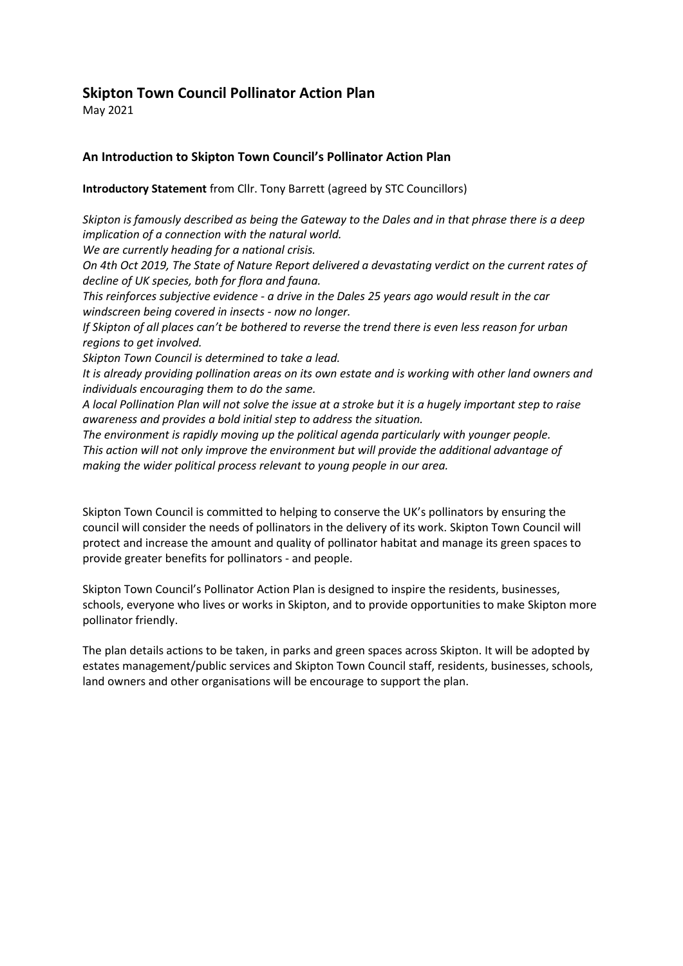# **Skipton Town Council Pollinator Action Plan**

May 2021

# **An Introduction to Skipton Town Council's Pollinator Action Plan**

**Introductory Statement** from Cllr. Tony Barrett (agreed by STC Councillors)

*Skipton is famously described as being the Gateway to the Dales and in that phrase there is a deep implication of a connection with the natural world.*

*We are currently heading for a national crisis.* 

*On 4th Oct 2019, The State of Nature Report delivered a devastating verdict on the current rates of decline of UK species, both for flora and fauna.*

*This reinforces subjective evidence - a drive in the Dales 25 years ago would result in the car windscreen being covered in insects - now no longer.*

*If Skipton of all places can't be bothered to reverse the trend there is even less reason for urban regions to get involved.*

*Skipton Town Council is determined to take a lead.*

*It is already providing pollination areas on its own estate and is working with other land owners and individuals encouraging them to do the same.*

*A local Pollination Plan will not solve the issue at a stroke but it is a hugely important step to raise awareness and provides a bold initial step to address the situation.*

*The environment is rapidly moving up the political agenda particularly with younger people. This action will not only improve the environment but will provide the additional advantage of making the wider political process relevant to young people in our area.* 

Skipton Town Council is committed to helping to conserve the UK's pollinators by ensuring the council will consider the needs of pollinators in the delivery of its work. Skipton Town Council will protect and increase the amount and quality of pollinator habitat and manage its green spaces to provide greater benefits for pollinators - and people.

Skipton Town Council's Pollinator Action Plan is designed to inspire the residents, businesses, schools, everyone who lives or works in Skipton, and to provide opportunities to make Skipton more pollinator friendly.

The plan details actions to be taken, in parks and green spaces across Skipton. It will be adopted by estates management/public services and Skipton Town Council staff, residents, businesses, schools, land owners and other organisations will be encourage to support the plan.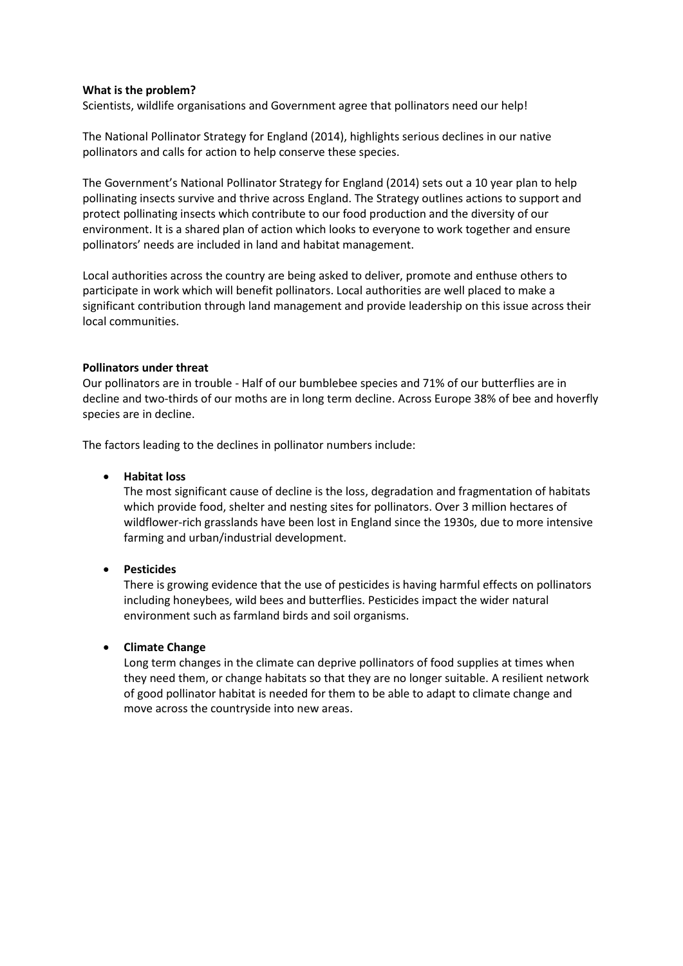#### **What is the problem?**

Scientists, wildlife organisations and Government agree that pollinators need our help!

The National Pollinator Strategy for England (2014), highlights serious declines in our native pollinators and calls for action to help conserve these species.

The Government's National Pollinator Strategy for England (2014) sets out a 10 year plan to help pollinating insects survive and thrive across England. The Strategy outlines actions to support and protect pollinating insects which contribute to our food production and the diversity of our environment. It is a shared plan of action which looks to everyone to work together and ensure pollinators' needs are included in land and habitat management.

Local authorities across the country are being asked to deliver, promote and enthuse others to participate in work which will benefit pollinators. Local authorities are well placed to make a significant contribution through land management and provide leadership on this issue across their local communities.

#### **Pollinators under threat**

Our pollinators are in trouble - Half of our bumblebee species and 71% of our butterflies are in decline and two-thirds of our moths are in long term decline. Across Europe 38% of bee and hoverfly species are in decline.

The factors leading to the declines in pollinator numbers include:

#### • **Habitat loss**

The most significant cause of decline is the loss, degradation and fragmentation of habitats which provide food, shelter and nesting sites for pollinators. Over 3 million hectares of wildflower-rich grasslands have been lost in England since the 1930s, due to more intensive farming and urban/industrial development.

# • **Pesticides**

There is growing evidence that the use of pesticides is having harmful effects on pollinators including honeybees, wild bees and butterflies. Pesticides impact the wider natural environment such as farmland birds and soil organisms.

# • **Climate Change**

Long term changes in the climate can deprive pollinators of food supplies at times when they need them, or change habitats so that they are no longer suitable. A resilient network of good pollinator habitat is needed for them to be able to adapt to climate change and move across the countryside into new areas.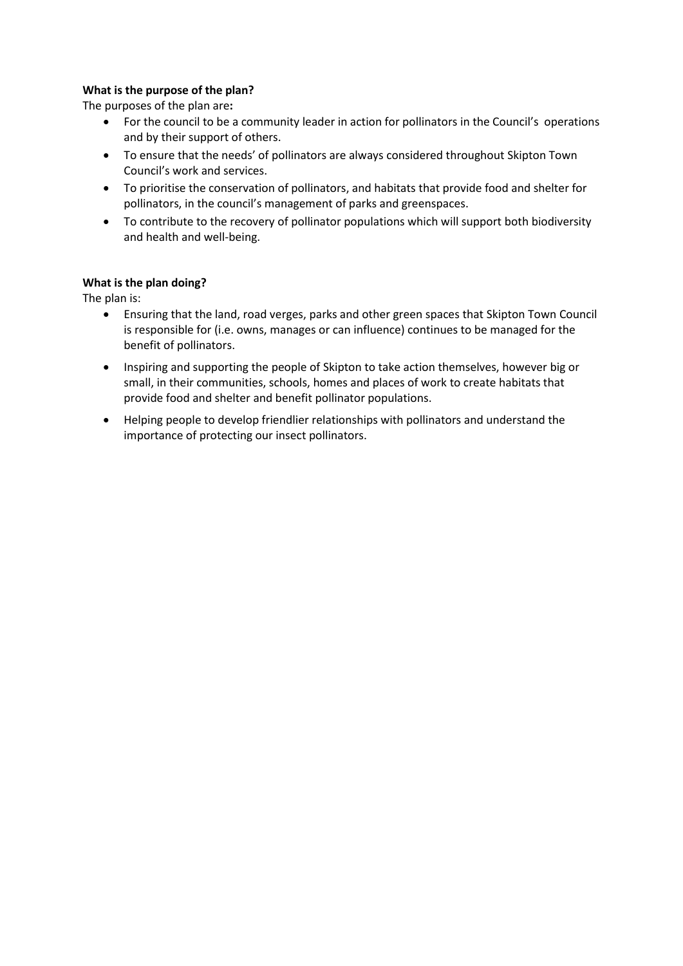# **What is the purpose of the plan?**

The purposes of the plan are**:**

- For the council to be a community leader in action for pollinators in the Council's operations and by their support of others.
- To ensure that the needs' of pollinators are always considered throughout Skipton Town Council's work and services.
- To prioritise the conservation of pollinators, and habitats that provide food and shelter for pollinators, in the council's management of parks and greenspaces.
- To contribute to the recovery of pollinator populations which will support both biodiversity and health and well-being.

### **What is the plan doing?**

The plan is:

- Ensuring that the land, road verges, parks and other green spaces that Skipton Town Council is responsible for (i.e. owns, manages or can influence) continues to be managed for the benefit of pollinators.
- Inspiring and supporting the people of Skipton to take action themselves, however big or small, in their communities, schools, homes and places of work to create habitats that provide food and shelter and benefit pollinator populations.
- Helping people to develop friendlier relationships with pollinators and understand the importance of protecting our insect pollinators.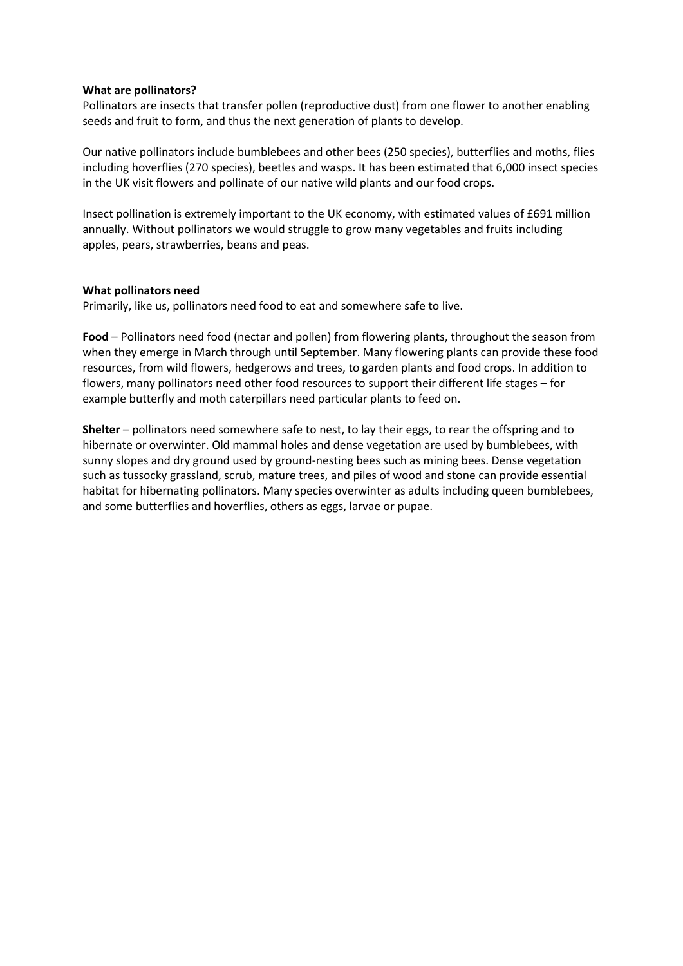#### **What are pollinators?**

Pollinators are insects that transfer pollen (reproductive dust) from one flower to another enabling seeds and fruit to form, and thus the next generation of plants to develop.

Our native pollinators include bumblebees and other bees (250 species), butterflies and moths, flies including hoverflies (270 species), beetles and wasps. It has been estimated that 6,000 insect species in the UK visit flowers and pollinate of our native wild plants and our food crops.

Insect pollination is extremely important to the UK economy, with estimated values of £691 million annually. Without pollinators we would struggle to grow many vegetables and fruits including apples, pears, strawberries, beans and peas.

#### **What pollinators need**

Primarily, like us, pollinators need food to eat and somewhere safe to live.

**Food** – Pollinators need food (nectar and pollen) from flowering plants, throughout the season from when they emerge in March through until September. Many flowering plants can provide these food resources, from wild flowers, hedgerows and trees, to garden plants and food crops. In addition to flowers, many pollinators need other food resources to support their different life stages – for example butterfly and moth caterpillars need particular plants to feed on.

**Shelter** – pollinators need somewhere safe to nest, to lay their eggs, to rear the offspring and to hibernate or overwinter. Old mammal holes and dense vegetation are used by bumblebees, with sunny slopes and dry ground used by ground-nesting bees such as mining bees. Dense vegetation such as tussocky grassland, scrub, mature trees, and piles of wood and stone can provide essential habitat for hibernating pollinators. Many species overwinter as adults including queen bumblebees, and some butterflies and hoverflies, others as eggs, larvae or pupae.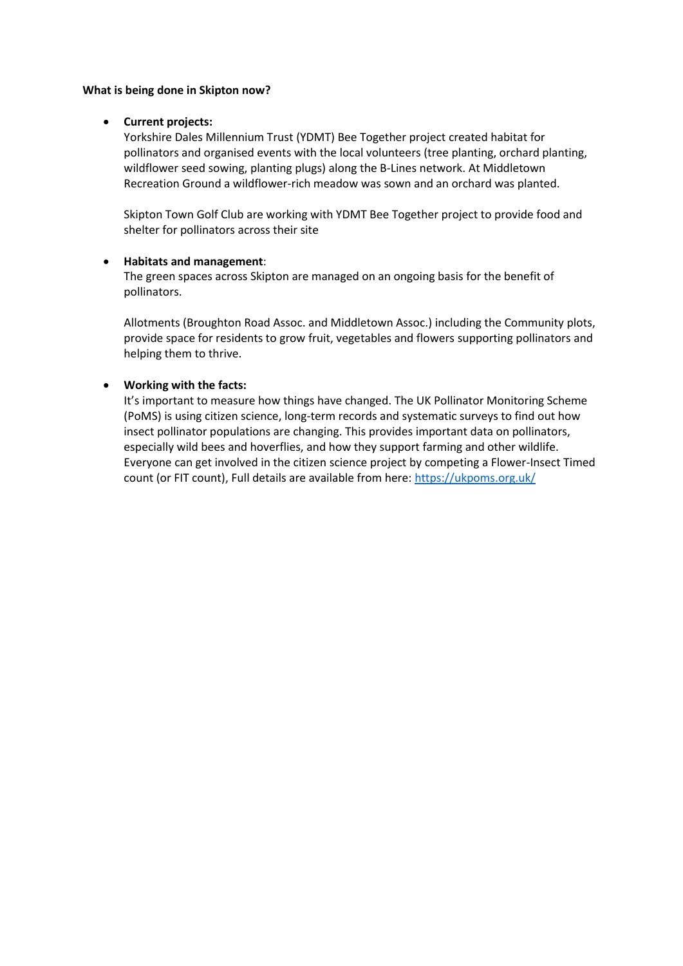#### **What is being done in Skipton now?**

#### • **Current projects:**

Yorkshire Dales Millennium Trust (YDMT) Bee Together project created habitat for pollinators and organised events with the local volunteers (tree planting, orchard planting, wildflower seed sowing, planting plugs) along the B-Lines network. At Middletown Recreation Ground a wildflower-rich meadow was sown and an orchard was planted.

Skipton Town Golf Club are working with YDMT Bee Together project to provide food and shelter for pollinators across their site

#### • **Habitats and management**:

The green spaces across Skipton are managed on an ongoing basis for the benefit of pollinators.

Allotments (Broughton Road Assoc. and Middletown Assoc.) including the Community plots, provide space for residents to grow fruit, vegetables and flowers supporting pollinators and helping them to thrive.

# • **Working with the facts:**

It's important to measure how things have changed. The UK Pollinator Monitoring Scheme (PoMS) is using citizen science, long-term records and systematic surveys to find out how insect pollinator populations are changing. This provides important data on pollinators, especially wild bees and hoverflies, and how they support farming and other wildlife. Everyone can get involved in the citizen science project by competing a Flower-Insect Timed count (or FIT count), Full details are available from here[: https://ukpoms.org.uk/](https://ukpoms.org.uk/)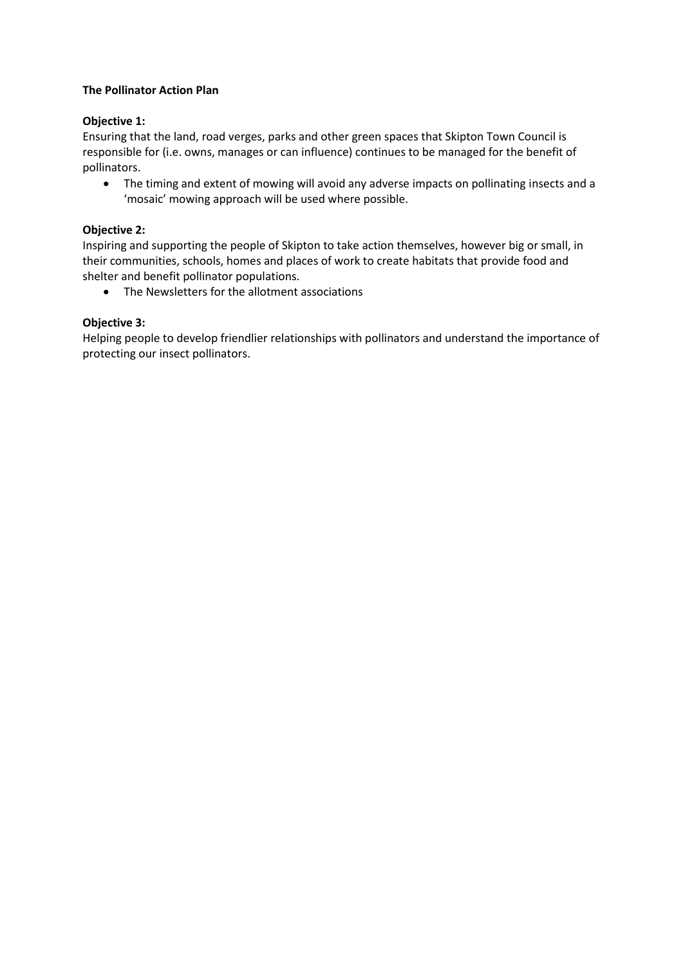### **The Pollinator Action Plan**

### **Objective 1:**

Ensuring that the land, road verges, parks and other green spaces that Skipton Town Council is responsible for (i.e. owns, manages or can influence) continues to be managed for the benefit of pollinators.

• The timing and extent of mowing will avoid any adverse impacts on pollinating insects and a 'mosaic' mowing approach will be used where possible.

#### **Objective 2:**

Inspiring and supporting the people of Skipton to take action themselves, however big or small, in their communities, schools, homes and places of work to create habitats that provide food and shelter and benefit pollinator populations.

• The Newsletters for the allotment associations

#### **Objective 3:**

Helping people to develop friendlier relationships with pollinators and understand the importance of protecting our insect pollinators.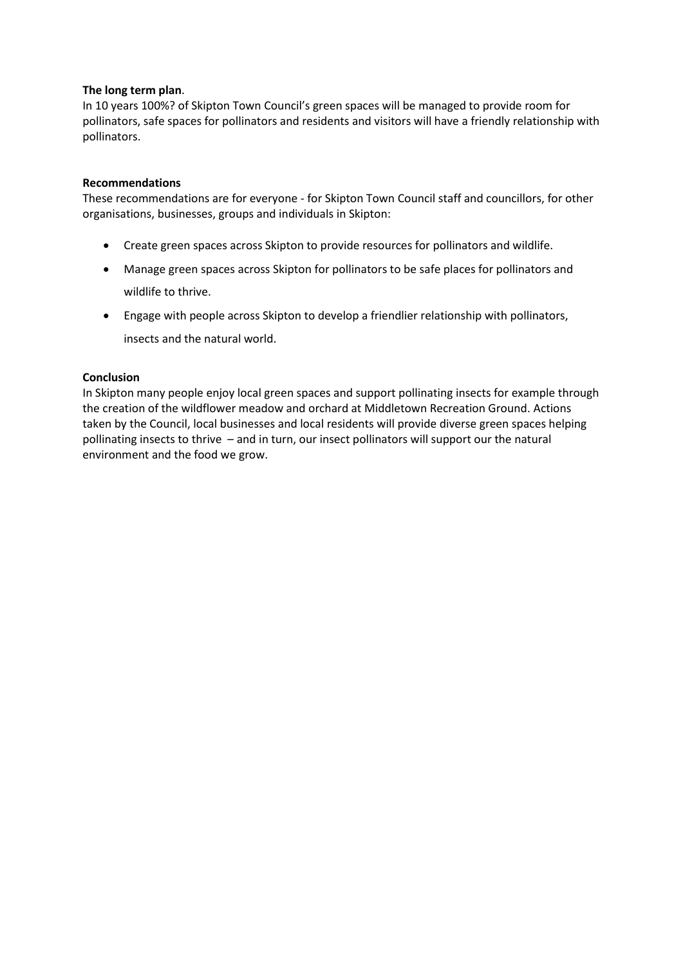#### **The long term plan**.

In 10 years 100%? of Skipton Town Council's green spaces will be managed to provide room for pollinators, safe spaces for pollinators and residents and visitors will have a friendly relationship with pollinators.

### **Recommendations**

These recommendations are for everyone - for Skipton Town Council staff and councillors, for other organisations, businesses, groups and individuals in Skipton:

- Create green spaces across Skipton to provide resources for pollinators and wildlife.
- Manage green spaces across Skipton for pollinators to be safe places for pollinators and wildlife to thrive.
- Engage with people across Skipton to develop a friendlier relationship with pollinators, insects and the natural world.

### **Conclusion**

In Skipton many people enjoy local green spaces and support pollinating insects for example through the creation of the wildflower meadow and orchard at Middletown Recreation Ground. Actions taken by the Council, local businesses and local residents will provide diverse green spaces helping pollinating insects to thrive – and in turn, our insect pollinators will support our the natural environment and the food we grow.